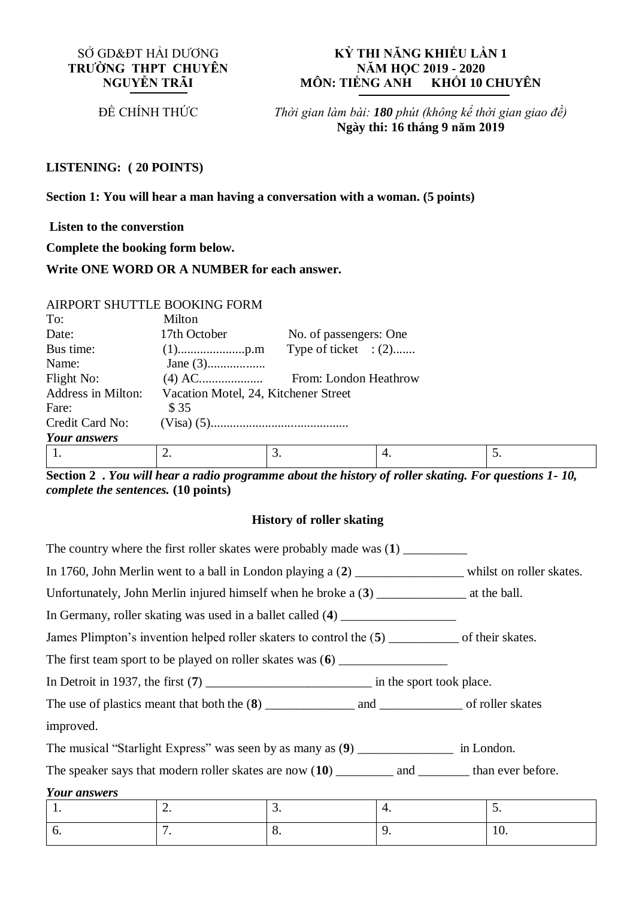SỞ GD&ĐT HẢI DƯƠNG **TRƯỜNG THPT CHUYÊN NGUYỄN TRÃI**

# **KỲ THI NĂNG KHIẾU LẦN 1 NĂM HỌC 2019 - 2020**  $\mathbf{M\hat{O}N: TI\hat{E}NG}$  anh

ĐỀ CHÍNH THỨC

*Thời gian làm bài: 180 phút (không kể thời gian giao đề)* **Ngày thi: 16 tháng 9 năm 2019**

### **LISTENING: ( 20 POINTS)**

**Section 1: You will hear a man having a conversation with a woman. (5 points)**

**Listen to the converstion** 

**Complete the booking form below.**

**Write ONE WORD OR A NUMBER for each answer.**

| AIRPORT SHUTTLE BOOKING FORM |                                      |                        |    |    |
|------------------------------|--------------------------------------|------------------------|----|----|
| To:                          | Milton                               |                        |    |    |
| Date:                        | 17th October                         | No. of passengers: One |    |    |
| Bus time:                    |                                      | Type of ticket $:(2)$  |    |    |
| Name:                        |                                      |                        |    |    |
| Flight No:                   |                                      |                        |    |    |
| Address in Milton:           | Vacation Motel, 24, Kitchener Street |                        |    |    |
| Fare:                        | \$35                                 |                        |    |    |
| Credit Card No:              |                                      |                        |    |    |
| Your answers                 |                                      |                        |    |    |
|                              | 2.                                   | 3.                     | 4. | 5. |

**Section 2 .** *You will hear a radio programme about the history of roller skating. For questions 1- 10, complete the sentences.* **(10 points)**

### **History of roller skating**

|                                                                                                                  |    | In 1760, John Merlin went to a ball in London playing a (2) ________________ whilst on roller skates. |    |    |
|------------------------------------------------------------------------------------------------------------------|----|-------------------------------------------------------------------------------------------------------|----|----|
|                                                                                                                  |    |                                                                                                       |    |    |
| In Germany, roller skating was used in a ballet called (4) _____________________                                 |    |                                                                                                       |    |    |
| James Plimpton's invention helped roller skaters to control the (5) ___________ of their skates.                 |    |                                                                                                       |    |    |
|                                                                                                                  |    |                                                                                                       |    |    |
|                                                                                                                  |    |                                                                                                       |    |    |
| The use of plastics meant that both the $(8)$ and $\frac{1}{\sqrt{2}}$ and $\frac{1}{\sqrt{2}}$ of roller skates |    |                                                                                                       |    |    |
| improved.                                                                                                        |    |                                                                                                       |    |    |
| The musical "Starlight Express" was seen by as many as (9) ______________ in London.                             |    |                                                                                                       |    |    |
| The speaker says that modern roller skates are now $(10)$ ___________ and _________ than ever before.            |    |                                                                                                       |    |    |
| Your answers                                                                                                     |    |                                                                                                       |    |    |
| 1.                                                                                                               | 2. | 3.                                                                                                    | 4. | 5. |

6. 7. 8. 9. 10.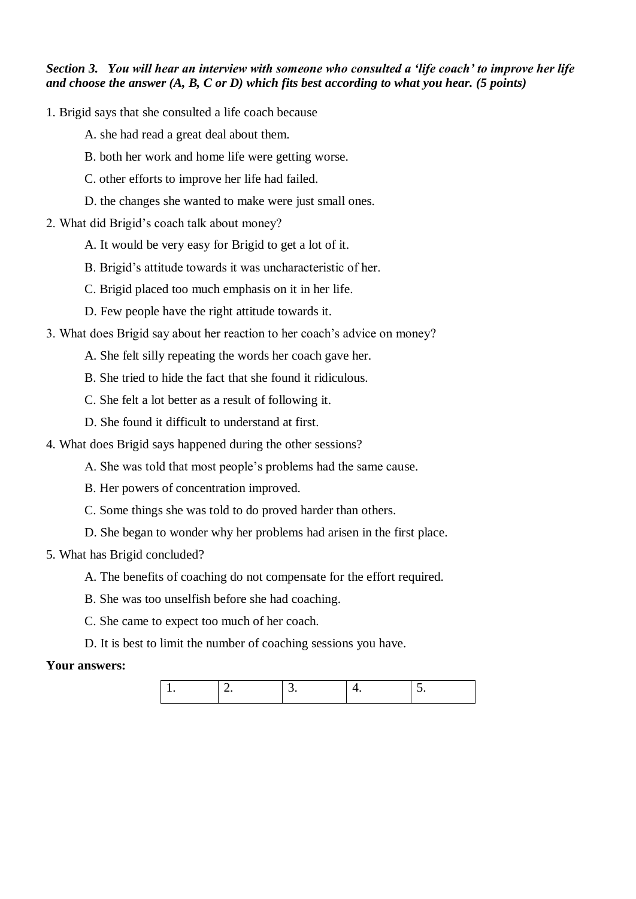# *Section 3. You will hear an interview with someone who consulted a 'life coach' to improve her life and choose the answer (A, B, C or D) which fits best according to what you hear. (5 points)*

- 1. Brigid says that she consulted a life coach because
	- A. she had read a great deal about them.
	- B. both her work and home life were getting worse.
	- C. other efforts to improve her life had failed.
	- D. the changes she wanted to make were just small ones.
- 2. What did Brigid's coach talk about money?
	- A. It would be very easy for Brigid to get a lot of it.
	- B. Brigid's attitude towards it was uncharacteristic of her.
	- C. Brigid placed too much emphasis on it in her life.
	- D. Few people have the right attitude towards it.
- 3. What does Brigid say about her reaction to her coach's advice on money?
	- A. She felt silly repeating the words her coach gave her.
	- B. She tried to hide the fact that she found it ridiculous.
	- C. She felt a lot better as a result of following it.
	- D. She found it difficult to understand at first.
- 4. What does Brigid says happened during the other sessions?
	- A. She was told that most people's problems had the same cause.
	- B. Her powers of concentration improved.
	- C. Some things she was told to do proved harder than others.
	- D. She began to wonder why her problems had arisen in the first place.
- 5. What has Brigid concluded?
	- A. The benefits of coaching do not compensate for the effort required.
	- B. She was too unselfish before she had coaching.
	- C. She came to expect too much of her coach.
	- D. It is best to limit the number of coaching sessions you have.

### **Your answers:**

|--|--|--|--|--|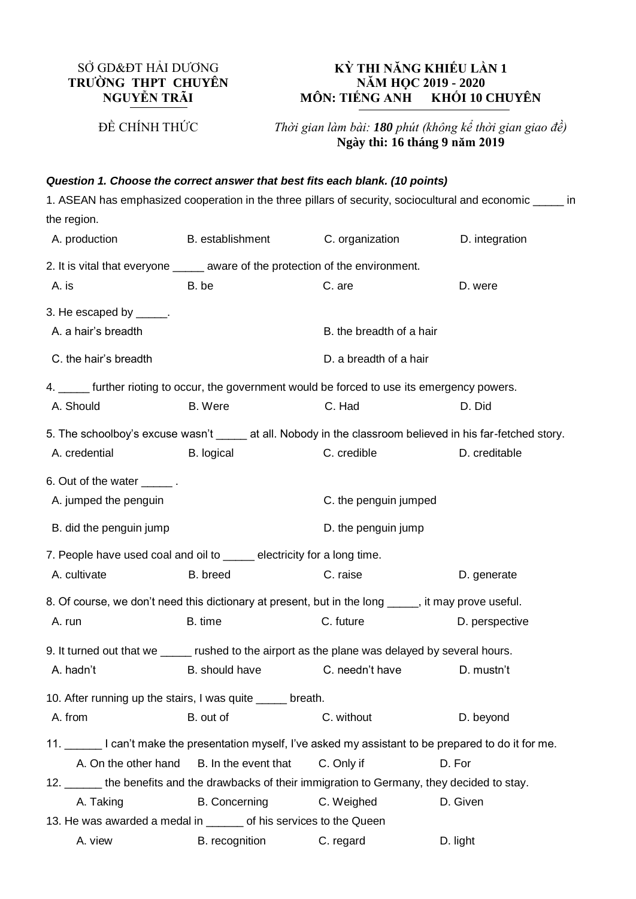# SỞ GD&ĐT HẢI DƯƠNG **TRƯỜNG THPT CHUYÊN NGUYỄN TRÃI**

# **KỲ THI NĂNG KHIẾU LẦN 1 NĂM HỌC 2019 - 2020 MÔN: TIẾNG ANH**

ĐỀ CHÍNH THỨC

*Thời gian làm bài: 180 phút (không kể thời gian giao đề)* **Ngày thi: 16 tháng 9 năm 2019**

### *Question 1. Choose the correct answer that best fits each blank. (10 points)*

| the region.                                                   |                                                                                                            |                          | 1. ASEAN has emphasized cooperation in the three pillars of security, sociocultural and economic ______ in |
|---------------------------------------------------------------|------------------------------------------------------------------------------------------------------------|--------------------------|------------------------------------------------------------------------------------------------------------|
| A. production                                                 | B. establishment                                                                                           | C. organization          | D. integration                                                                                             |
|                                                               | 2. It is vital that everyone ______ aware of the protection of the environment.                            |                          |                                                                                                            |
| A. is                                                         | B. be                                                                                                      | C. are                   | D. were                                                                                                    |
| 3. He escaped by $\frac{1}{\sqrt{1-\frac{1}{2}}}\$ .          |                                                                                                            |                          |                                                                                                            |
| A. a hair's breadth                                           |                                                                                                            | B. the breadth of a hair |                                                                                                            |
| C. the hair's breadth                                         |                                                                                                            | D. a breadth of a hair   |                                                                                                            |
|                                                               | 4. _____ further rioting to occur, the government would be forced to use its emergency powers.             |                          |                                                                                                            |
| A. Should                                                     | B. Were                                                                                                    | C. Had                   | D. Did                                                                                                     |
|                                                               | 5. The schoolboy's excuse wasn't ______ at all. Nobody in the classroom believed in his far-fetched story. |                          |                                                                                                            |
| A. credential                                                 | B. logical                                                                                                 | C. credible              | D. creditable                                                                                              |
| 6. Out of the water $\frac{1}{\sqrt{1-\frac{1}{2}}}\right.$ . |                                                                                                            |                          |                                                                                                            |
| A. jumped the penguin                                         |                                                                                                            | C. the penguin jumped    |                                                                                                            |
| B. did the penguin jump                                       |                                                                                                            | D. the penguin jump      |                                                                                                            |
|                                                               | 7. People have used coal and oil to _____ electricity for a long time.                                     |                          |                                                                                                            |
| A. cultivate                                                  | B. breed                                                                                                   | C. raise                 | D. generate                                                                                                |
|                                                               | 8. Of course, we don't need this dictionary at present, but in the long ____, it may prove useful.         |                          |                                                                                                            |
| A. run                                                        | B. time                                                                                                    | C. future                | D. perspective                                                                                             |
|                                                               | 9. It turned out that we _____ rushed to the airport as the plane was delayed by several hours.            |                          |                                                                                                            |
| A. hadn't                                                     | B. should have                                                                                             | C. needn't have          | D. mustn't                                                                                                 |
|                                                               | 10. After running up the stairs, I was quite _____ breath.                                                 |                          |                                                                                                            |
| A. from                                                       | B. out of                                                                                                  | C. without               | D. beyond                                                                                                  |
|                                                               | 11. I can't make the presentation myself, I've asked my assistant to be prepared to do it for me.          |                          |                                                                                                            |
| A. On the other hand                                          | B. In the event that                                                                                       | C. Only if               | D. For                                                                                                     |
|                                                               | 12. ______ the benefits and the drawbacks of their immigration to Germany, they decided to stay.           |                          |                                                                                                            |
| A. Taking                                                     | <b>B.</b> Concerning                                                                                       | C. Weighed               | D. Given                                                                                                   |
|                                                               | 13. He was awarded a medal in _______ of his services to the Queen                                         |                          |                                                                                                            |
| A. view                                                       | B. recognition                                                                                             | C. regard                | D. light                                                                                                   |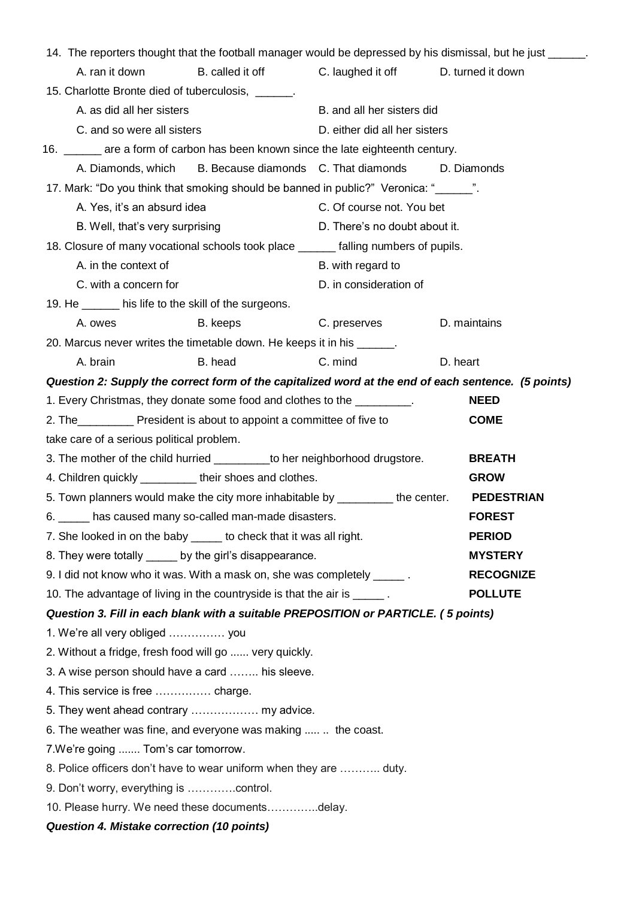| 14. The reporters thought that the football manager would be depressed by his dismissal, but he just ______.                                                                                                                                                                                                                                                                                                                                                                                     |                                                                     |                               |                                                                                                                           |
|--------------------------------------------------------------------------------------------------------------------------------------------------------------------------------------------------------------------------------------------------------------------------------------------------------------------------------------------------------------------------------------------------------------------------------------------------------------------------------------------------|---------------------------------------------------------------------|-------------------------------|---------------------------------------------------------------------------------------------------------------------------|
| A. ran it down                                                                                                                                                                                                                                                                                                                                                                                                                                                                                   | B. called it off                                                    | C. laughed it off             | D. turned it down                                                                                                         |
| 15. Charlotte Bronte died of tuberculosis, ______.                                                                                                                                                                                                                                                                                                                                                                                                                                               |                                                                     |                               |                                                                                                                           |
| A. as did all her sisters                                                                                                                                                                                                                                                                                                                                                                                                                                                                        |                                                                     | B. and all her sisters did    |                                                                                                                           |
| C. and so were all sisters                                                                                                                                                                                                                                                                                                                                                                                                                                                                       |                                                                     | D. either did all her sisters |                                                                                                                           |
| 16. ______ are a form of carbon has been known since the late eighteenth century.                                                                                                                                                                                                                                                                                                                                                                                                                |                                                                     |                               |                                                                                                                           |
|                                                                                                                                                                                                                                                                                                                                                                                                                                                                                                  | A. Diamonds, which B. Because diamonds C. That diamonds D. Diamonds |                               |                                                                                                                           |
| 17. Mark: "Do you think that smoking should be banned in public?" Veronica: "______".                                                                                                                                                                                                                                                                                                                                                                                                            |                                                                     |                               |                                                                                                                           |
| A. Yes, it's an absurd idea                                                                                                                                                                                                                                                                                                                                                                                                                                                                      |                                                                     | C. Of course not. You bet     |                                                                                                                           |
| B. Well, that's very surprising                                                                                                                                                                                                                                                                                                                                                                                                                                                                  |                                                                     | D. There's no doubt about it. |                                                                                                                           |
| 18. Closure of many vocational schools took place _______ falling numbers of pupils.                                                                                                                                                                                                                                                                                                                                                                                                             |                                                                     |                               |                                                                                                                           |
| A. in the context of                                                                                                                                                                                                                                                                                                                                                                                                                                                                             |                                                                     | B. with regard to             |                                                                                                                           |
| C. with a concern for                                                                                                                                                                                                                                                                                                                                                                                                                                                                            |                                                                     | D. in consideration of        |                                                                                                                           |
| 19. He ______ his life to the skill of the surgeons.                                                                                                                                                                                                                                                                                                                                                                                                                                             |                                                                     |                               |                                                                                                                           |
| A. owes a controller to the controller                                                                                                                                                                                                                                                                                                                                                                                                                                                           | B. keeps                                                            | C. preserves                  | D. maintains                                                                                                              |
| 20. Marcus never writes the timetable down. He keeps it in his ______.                                                                                                                                                                                                                                                                                                                                                                                                                           |                                                                     |                               |                                                                                                                           |
| A. brain                                                                                                                                                                                                                                                                                                                                                                                                                                                                                         | B. head                                                             | C. mind                       | D. heart                                                                                                                  |
| 3. The mother of the child hurried __________ to her neighborhood drugstore.<br>4. Children quickly ___________ their shoes and clothes.<br>5. Town planners would make the city more inhabitable by ________ the center.<br>6. _____ has caused many so-called man-made disasters.<br>7. She looked in on the baby _____ to check that it was all right.<br>8. They were totally ______ by the girl's disappearance.<br>9. I did not know who it was. With a mask on, she was completely _____. |                                                                     |                               | <b>BREATH</b><br><b>GROW</b><br><b>PEDESTRIAN</b><br><b>FOREST</b><br><b>PERIOD</b><br><b>MYSTERY</b><br><b>RECOGNIZE</b> |
| 10. The advantage of living in the countryside is that the air is ______.                                                                                                                                                                                                                                                                                                                                                                                                                        |                                                                     |                               | <b>POLLUTE</b>                                                                                                            |
| Question 3. Fill in each blank with a suitable PREPOSITION or PARTICLE. (5 points)                                                                                                                                                                                                                                                                                                                                                                                                               |                                                                     |                               |                                                                                                                           |
| 1. We're all very obliged  you                                                                                                                                                                                                                                                                                                                                                                                                                                                                   |                                                                     |                               |                                                                                                                           |
| 2. Without a fridge, fresh food will go  very quickly.                                                                                                                                                                                                                                                                                                                                                                                                                                           |                                                                     |                               |                                                                                                                           |
| 3. A wise person should have a card  his sleeve.                                                                                                                                                                                                                                                                                                                                                                                                                                                 |                                                                     |                               |                                                                                                                           |
| 4. This service is free  charge.                                                                                                                                                                                                                                                                                                                                                                                                                                                                 |                                                                     |                               |                                                                                                                           |
| 5. They went ahead contrary  my advice.                                                                                                                                                                                                                                                                                                                                                                                                                                                          |                                                                     |                               |                                                                                                                           |
| 6. The weather was fine, and everyone was making   the coast.                                                                                                                                                                                                                                                                                                                                                                                                                                    |                                                                     |                               |                                                                                                                           |
|                                                                                                                                                                                                                                                                                                                                                                                                                                                                                                  |                                                                     |                               |                                                                                                                           |
|                                                                                                                                                                                                                                                                                                                                                                                                                                                                                                  |                                                                     |                               |                                                                                                                           |
|                                                                                                                                                                                                                                                                                                                                                                                                                                                                                                  |                                                                     |                               |                                                                                                                           |
| 7. We're going  Tom's car tomorrow.<br>8. Police officers don't have to wear uniform when they are  duty.<br>9. Don't worry, everything is control.                                                                                                                                                                                                                                                                                                                                              |                                                                     |                               |                                                                                                                           |
|                                                                                                                                                                                                                                                                                                                                                                                                                                                                                                  |                                                                     |                               |                                                                                                                           |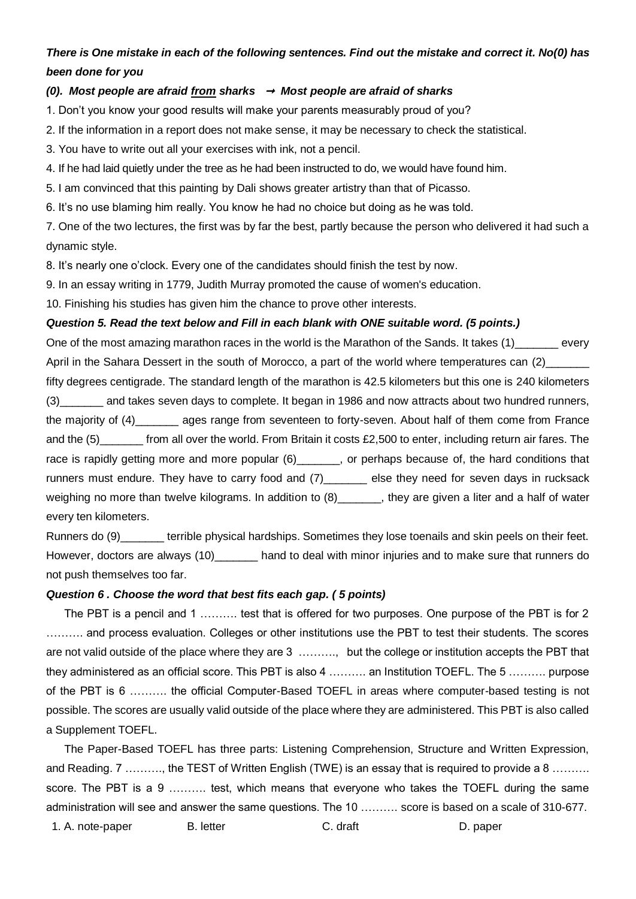# *There is One mistake in each of the following sentences. Find out the mistake and correct it. No(0) has been done for you*

### *(0). Most people are afraid from sharks Most people are afraid of sharks*

1. Don't you know your good results will make your parents measurably proud of you?

2. If the information in a report does not make sense, it may be necessary to check the statistical.

3. You have to write out all your exercises with ink, not a pencil.

4. If he had laid quietly under the tree as he had been instructed to do, we would have found him.

5. I am convinced that this painting by Dali shows greater artistry than that of Picasso.

6. It's no use blaming him really. You know he had no choice but doing as he was told.

7. One of the two lectures, the first was by far the best, partly because the person who delivered it had such a dynamic style.

8. It's nearly one o'clock. Every one of the candidates should finish the test by now.

9. In an essay writing in 1779, Judith Murray promoted the cause of women's education.

10. Finishing his studies has given him the chance to prove other interests.

#### *Question 5. Read the text below and Fill in each blank with ONE suitable word. (5 points.)*

One of the most amazing marathon races in the world is the Marathon of the Sands. It takes (1)\_\_\_\_\_\_\_ every April in the Sahara Dessert in the south of Morocco, a part of the world where temperatures can (2)\_\_\_\_\_\_\_ fifty degrees centigrade. The standard length of the marathon is 42.5 kilometers but this one is 240 kilometers (3)\_\_\_\_\_\_\_ and takes seven days to complete. It began in 1986 and now attracts about two hundred runners, the majority of (4) ages range from seventeen to forty-seven. About half of them come from France and the (5)\_\_\_\_\_\_\_ from all over the world. From Britain it costs £2,500 to enter, including return air fares. The race is rapidly getting more and more popular (6)\_\_\_\_\_\_, or perhaps because of, the hard conditions that runners must endure. They have to carry food and (7) else they need for seven days in rucksack weighing no more than twelve kilograms. In addition to (8)\_\_\_\_\_\_, they are given a liter and a half of water every ten kilometers.

Runners do (9)\_\_\_\_\_\_\_ terrible physical hardships. Sometimes they lose toenails and skin peels on their feet. However, doctors are always (10) hand to deal with minor injuries and to make sure that runners do not push themselves too far.

#### *Question 6 . Choose the word that best fits each gap. ( 5 points)*

The PBT is a pencil and 1 ………. test that is offered for two purposes. One purpose of the PBT is for 2 ………. and process evaluation. Colleges or other institutions use the PBT to test their students. The scores are not valid outside of the place where they are 3 ………., but the college or institution accepts the PBT that they administered as an official score. This PBT is also 4 ………. an Institution TOEFL. The 5 ………. purpose of the PBT is 6 ………. the official Computer-Based TOEFL in areas where computer-based testing is not possible. The scores are usually valid outside of the place where they are administered. This PBT is also called a Supplement TOEFL.

The Paper-Based TOEFL has three parts: Listening Comprehension, Structure and Written Expression, and Reading. 7 ………., the TEST of Written English (TWE) is an essay that is required to provide a 8 ………. score. The PBT is a 9 ………. test, which means that everyone who takes the TOEFL during the same administration will see and answer the same questions. The 10 ………. score is based on a scale of 310-677.

1. A. note-paper B. letter C. draft D. paper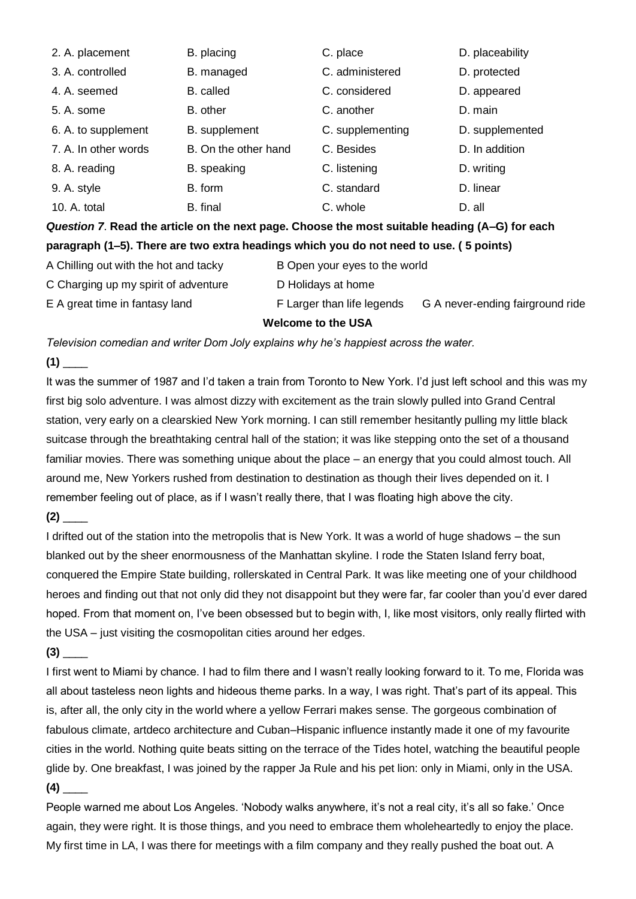| 2. A. placement                                                                                | B. placing           |                               | C. place                   |  | D. placeability                  |
|------------------------------------------------------------------------------------------------|----------------------|-------------------------------|----------------------------|--|----------------------------------|
| 3. A. controlled                                                                               | B. managed           |                               | C. administered            |  | D. protected                     |
| 4. A. seemed                                                                                   | B. called            |                               | C. considered              |  | D. appeared                      |
| 5. A. some                                                                                     | B. other             |                               | C. another                 |  | D. main                          |
| 6. A. to supplement                                                                            | B. supplement        |                               | C. supplementing           |  | D. supplemented                  |
| 7. A. In other words                                                                           | B. On the other hand |                               | C. Besides                 |  | D. In addition                   |
| 8. A. reading                                                                                  | B. speaking          |                               | C. listening               |  | D. writing                       |
| 9. A. style                                                                                    | B. form              |                               | C. standard                |  | D. linear                        |
| 10. A. total                                                                                   | B. final             |                               | C. whole                   |  | D. all                           |
| Question 7. Read the article on the next page. Choose the most suitable heading (A–G) for each |                      |                               |                            |  |                                  |
| paragraph (1–5). There are two extra headings which you do not need to use. (5 points)         |                      |                               |                            |  |                                  |
| A Chilling out with the hot and tacky                                                          |                      | B Open your eyes to the world |                            |  |                                  |
| C Charging up my spirit of adventure                                                           |                      | D Holidays at home            |                            |  |                                  |
| E A great time in fantasy land                                                                 |                      |                               | F Larger than life legends |  | G A never-ending fairground ride |
|                                                                                                |                      |                               |                            |  |                                  |

# **Welcome to the USA**

*Television comedian and writer Dom Joly explains why he's happiest across the water.*

**(1)** \_\_\_\_

It was the summer of 1987 and I'd taken a train from Toronto to New York. I'd just left school and this was my first big solo adventure. I was almost dizzy with excitement as the train slowly pulled into Grand Central station, very early on a clearskied New York morning. I can still remember hesitantly pulling my little black suitcase through the breathtaking central hall of the station; it was like stepping onto the set of a thousand familiar movies. There was something unique about the place – an energy that you could almost touch. All around me, New Yorkers rushed from destination to destination as though their lives depended on it. I remember feeling out of place, as if I wasn't really there, that I was floating high above the city.

 $(2)$ 

I drifted out of the station into the metropolis that is New York. It was a world of huge shadows – the sun blanked out by the sheer enormousness of the Manhattan skyline. I rode the Staten Island ferry boat, conquered the Empire State building, rollerskated in Central Park. It was like meeting one of your childhood heroes and finding out that not only did they not disappoint but they were far, far cooler than you'd ever dared hoped. From that moment on, I've been obsessed but to begin with, I, like most visitors, only really flirted with the USA – just visiting the cosmopolitan cities around her edges.

### **(3)** \_\_\_\_

I first went to Miami by chance. I had to film there and I wasn't really looking forward to it. To me, Florida was all about tasteless neon lights and hideous theme parks. In a way, I was right. That's part of its appeal. This is, after all, the only city in the world where a yellow Ferrari makes sense. The gorgeous combination of fabulous climate, artdeco architecture and Cuban–Hispanic influence instantly made it one of my favourite cities in the world. Nothing quite beats sitting on the terrace of the Tides hotel, watching the beautiful people glide by. One breakfast, I was joined by the rapper Ja Rule and his pet lion: only in Miami, only in the USA. **(4)** \_\_\_\_

People warned me about Los Angeles. 'Nobody walks anywhere, it's not a real city, it's all so fake.' Once again, they were right. It is those things, and you need to embrace them wholeheartedly to enjoy the place. My first time in LA, I was there for meetings with a film company and they really pushed the boat out. A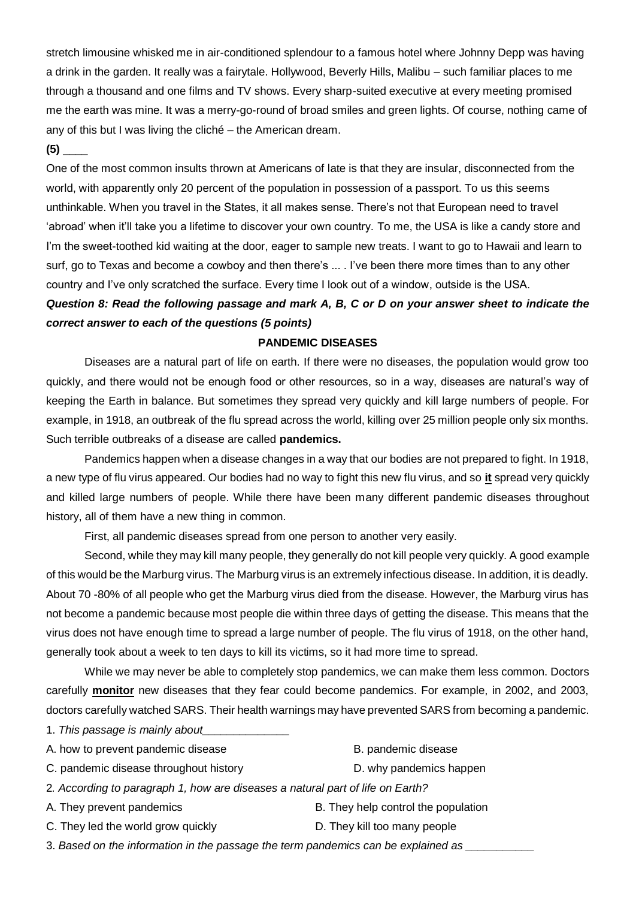stretch limousine whisked me in air-conditioned splendour to a famous hotel where Johnny Depp was having a drink in the garden. It really was a fairytale. Hollywood, Beverly Hills, Malibu – such familiar places to me through a thousand and one films and TV shows. Every sharp-suited executive at every meeting promised me the earth was mine. It was a merry-go-round of broad smiles and green lights. Of course, nothing came of any of this but I was living the cliché – the American dream.

## **(5)** \_\_\_\_

One of the most common insults thrown at Americans of late is that they are insular, disconnected from the world, with apparently only 20 percent of the population in possession of a passport. To us this seems unthinkable. When you travel in the States, it all makes sense. There's not that European need to travel 'abroad' when it'll take you a lifetime to discover your own country. To me, the USA is like a candy store and I'm the sweet-toothed kid waiting at the door, eager to sample new treats. I want to go to Hawaii and learn to surf, go to Texas and become a cowboy and then there's ... . I've been there more times than to any other country and I've only scratched the surface. Every time I look out of a window, outside is the USA. *Question 8: Read the following passage and mark A, B, C or D on your answer sheet to indicate the correct answer to each of the questions (5 points)*

#### **PANDEMIC DISEASES**

Diseases are a natural part of life on earth. If there were no diseases, the population would grow too quickly, and there would not be enough food or other resources, so in a way, diseases are natural's way of keeping the Earth in balance. But sometimes they spread very quickly and kill large numbers of people. For example, in 1918, an outbreak of the flu spread across the world, killing over 25 million people only six months. Such terrible outbreaks of a disease are called **pandemics.**

Pandemics happen when a disease changes in a way that our bodies are not prepared to fight. In 1918, a new type of flu virus appeared. Our bodies had no way to fight this new flu virus, and so **it** spread very quickly and killed large numbers of people. While there have been many different pandemic diseases throughout history, all of them have a new thing in common.

First, all pandemic diseases spread from one person to another very easily.

Second, while they may kill many people, they generally do not kill people very quickly. A good example of this would be the Marburg virus. The Marburg virus is an extremely infectious disease. In addition, it is deadly. About 70 -80% of all people who get the Marburg virus died from the disease. However, the Marburg virus has not become a pandemic because most people die within three days of getting the disease. This means that the virus does not have enough time to spread a large number of people. The flu virus of 1918, on the other hand, generally took about a week to ten days to kill its victims, so it had more time to spread.

While we may never be able to completely stop pandemics, we can make them less common. Doctors carefully **monitor** new diseases that they fear could become pandemics. For example, in 2002, and 2003, doctors carefully watched SARS. Their health warnings may have prevented SARS from becoming a pandemic.

- 1. *This passage is mainly about\_\_\_\_\_\_\_\_\_\_\_\_\_\_*
- A. how to prevent pandemic disease B. pandemic disease
- C. pandemic disease throughout history **D. why pandemics happen**
- -
- 2*. According to paragraph 1, how are diseases a natural part of life on Earth?*
- A. They prevent pandemics **B. They help control the population**
- C. They led the world grow quickly **D.** They kill too many people
- -

3. *Based on the information in the passage the term pandemics can be explained as \_\_\_\_\_\_\_\_\_\_\_*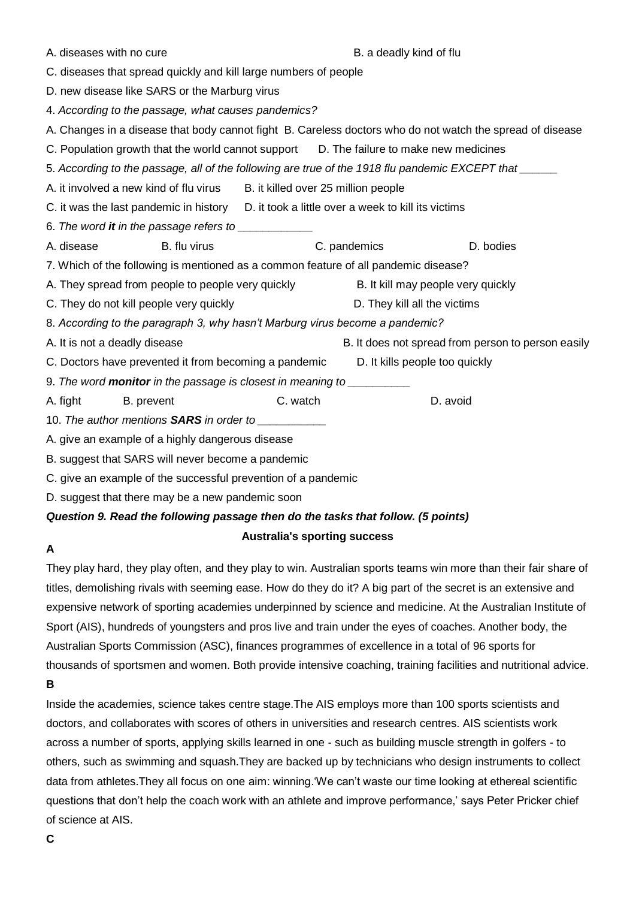| A. diseases with no cure                                                                |                                                                                                        |          | B. a deadly kind of flu        |                                                                                                           |  |  |
|-----------------------------------------------------------------------------------------|--------------------------------------------------------------------------------------------------------|----------|--------------------------------|-----------------------------------------------------------------------------------------------------------|--|--|
|                                                                                         | C. diseases that spread quickly and kill large numbers of people                                       |          |                                |                                                                                                           |  |  |
|                                                                                         | D. new disease like SARS or the Marburg virus                                                          |          |                                |                                                                                                           |  |  |
|                                                                                         | 4. According to the passage, what causes pandemics?                                                    |          |                                |                                                                                                           |  |  |
|                                                                                         |                                                                                                        |          |                                | A. Changes in a disease that body cannot fight B. Careless doctors who do not watch the spread of disease |  |  |
|                                                                                         | C. Population growth that the world cannot support D. The failure to make new medicines                |          |                                |                                                                                                           |  |  |
|                                                                                         | 5. According to the passage, all of the following are true of the 1918 flu pandemic EXCEPT that ______ |          |                                |                                                                                                           |  |  |
|                                                                                         | A. it involved a new kind of flu virus B. it killed over 25 million people                             |          |                                |                                                                                                           |  |  |
|                                                                                         | C. it was the last pandemic in history D. it took a little over a week to kill its victims             |          |                                |                                                                                                           |  |  |
|                                                                                         |                                                                                                        |          |                                |                                                                                                           |  |  |
| A. disease                                                                              | B. flu virus                                                                                           |          | C. pandemics                   | D. bodies                                                                                                 |  |  |
|                                                                                         | 7. Which of the following is mentioned as a common feature of all pandemic disease?                    |          |                                |                                                                                                           |  |  |
| A. They spread from people to people very quickly<br>B. It kill may people very quickly |                                                                                                        |          |                                |                                                                                                           |  |  |
| C. They do not kill people very quickly                                                 |                                                                                                        |          | D. They kill all the victims   |                                                                                                           |  |  |
|                                                                                         | 8. According to the paragraph 3, why hasn't Marburg virus become a pandemic?                           |          |                                |                                                                                                           |  |  |
| A. It is not a deadly disease                                                           |                                                                                                        |          |                                | B. It does not spread from person to person easily                                                        |  |  |
|                                                                                         | C. Doctors have prevented it from becoming a pandemic                                                  |          | D. It kills people too quickly |                                                                                                           |  |  |
|                                                                                         | 9. The word <b>monitor</b> in the passage is closest in meaning to ____________________                |          |                                |                                                                                                           |  |  |
| A. fight                                                                                | B. prevent                                                                                             | C. watch | D. avoid                       |                                                                                                           |  |  |
|                                                                                         |                                                                                                        |          |                                |                                                                                                           |  |  |
|                                                                                         | A. give an example of a highly dangerous disease                                                       |          |                                |                                                                                                           |  |  |
| B. suggest that SARS will never become a pandemic                                       |                                                                                                        |          |                                |                                                                                                           |  |  |
|                                                                                         | C. give an example of the successful prevention of a pandemic                                          |          |                                |                                                                                                           |  |  |
|                                                                                         |                                                                                                        |          |                                |                                                                                                           |  |  |

D. suggest that there may be a new pandemic soon

# *Question 9. Read the following passage then do the tasks that follow. (5 points)* **Australia's sporting success**

### **A**

They play hard, they play often, and they play to win. Australian sports teams win more than their fair share of titles, demolishing rivals with seeming ease. How do they do it? A big part of the secret is an extensive and expensive network of sporting academies underpinned by science and medicine. At the Australian Institute of Sport (AIS), hundreds of youngsters and pros live and train under the eyes of coaches. Another body, the Australian Sports Commission (ASC), finances programmes of excellence in a total of 96 sports for thousands of sportsmen and women. Both provide intensive coaching, training facilities and nutritional advice. **B**

Inside the academies, science takes centre stage.The AIS employs more than 100 sports scientists and doctors, and collaborates with scores of others in universities and research centres. AIS scientists work across a number of sports, applying skills learned in one - such as building muscle strength in golfers - to others, such as swimming and squash.They are backed up by technicians who design instruments to collect data from athletes.They all focus on one aim: winning.'We can't waste our time looking at ethereal scientific questions that don't help the coach work with an athlete and improve performance,' says Peter Pricker chief of science at AIS.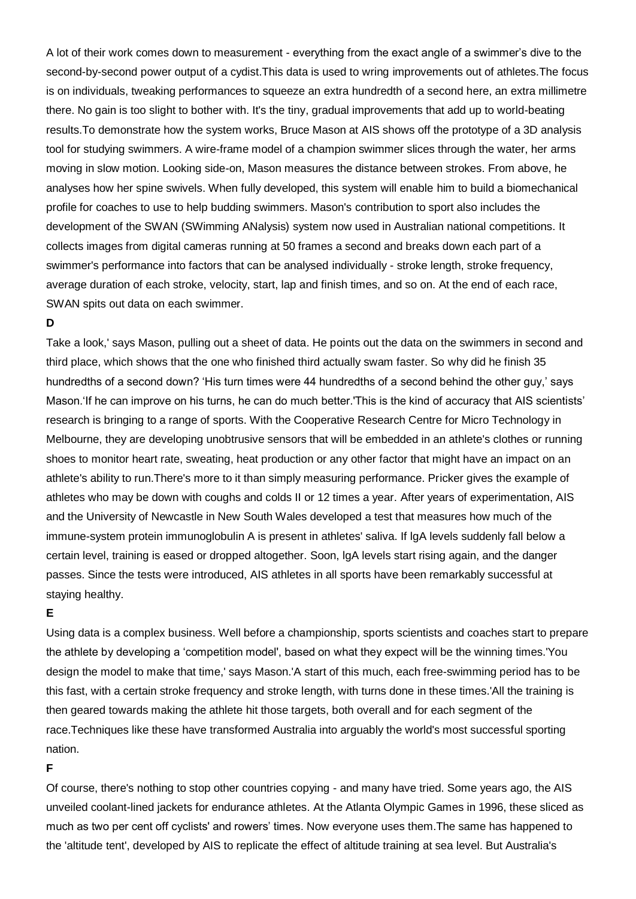A lot of their work comes down to measurement - everything from the exact angle of a swimmer's dive to the second-by-second power output of a cydist.This data is used to wring improvements out of athletes.The focus is on individuals, tweaking performances to squeeze an extra hundredth of a second here, an extra millimetre there. No gain is too slight to bother with. It's the tiny, gradual improvements that add up to world-beating results.To demonstrate how the system works, Bruce Mason at AIS shows off the prototype of a 3D analysis tool for studying swimmers. A wire-frame model of a champion swimmer slices through the water, her arms moving in slow motion. Looking side-on, Mason measures the distance between strokes. From above, he analyses how her spine swivels. When fully developed, this system will enable him to build a biomechanical profile for coaches to use to help budding swimmers. Mason's contribution to sport also includes the development of the SWAN (SWimming ANalysis) system now used in Australian national competitions. It collects images from digital cameras running at 50 frames a second and breaks down each part of a swimmer's performance into factors that can be analysed individually - stroke length, stroke frequency, average duration of each stroke, velocity, start, lap and finish times, and so on. At the end of each race, SWAN spits out data on each swimmer.

### **D**

Take a look,' says Mason, pulling out a sheet of data. He points out the data on the swimmers in second and third place, which shows that the one who finished third actually swam faster. So why did he finish 35 hundredths of a second down? 'His turn times were 44 hundredths of a second behind the other guy,' says Mason.'If he can improve on his turns, he can do much better.'This is the kind of accuracy that AIS scientists' research is bringing to a range of sports. With the Cooperative Research Centre for Micro Technology in Melbourne, they are developing unobtrusive sensors that will be embedded in an athlete's clothes or running shoes to monitor heart rate, sweating, heat production or any other factor that might have an impact on an athlete's ability to run.There's more to it than simply measuring performance. Pricker gives the example of athletes who may be down with coughs and colds II or 12 times a year. After years of experimentation, AIS and the University of Newcastle in New South Wales developed a test that measures how much of the immune-system protein immunoglobulin A is present in athletes' saliva. If lgA levels suddenly fall below a certain level, training is eased or dropped altogether. Soon, lgA levels start rising again, and the danger passes. Since the tests were introduced, AIS athletes in all sports have been remarkably successful at staying healthy.

#### **E**

Using data is a complex business. Well before a championship, sports scientists and coaches start to prepare the athlete by developing a 'competition model', based on what they expect will be the winning times.'You design the model to make that time,' says Mason.'A start of this much, each free-swimming period has to be this fast, with a certain stroke frequency and stroke length, with turns done in these times.'All the training is then geared towards making the athlete hit those targets, both overall and for each segment of the race.Techniques like these have transformed Australia into arguably the world's most successful sporting nation.

### **F**

Of course, there's nothing to stop other countries copying - and many have tried. Some years ago, the AIS unveiled coolant-lined jackets for endurance athletes. At the Atlanta Olympic Games in 1996, these sliced as much as two per cent off cyclists' and rowers' times. Now everyone uses them.The same has happened to the 'altitude tent', developed by AIS to replicate the effect of altitude training at sea level. But Australia's